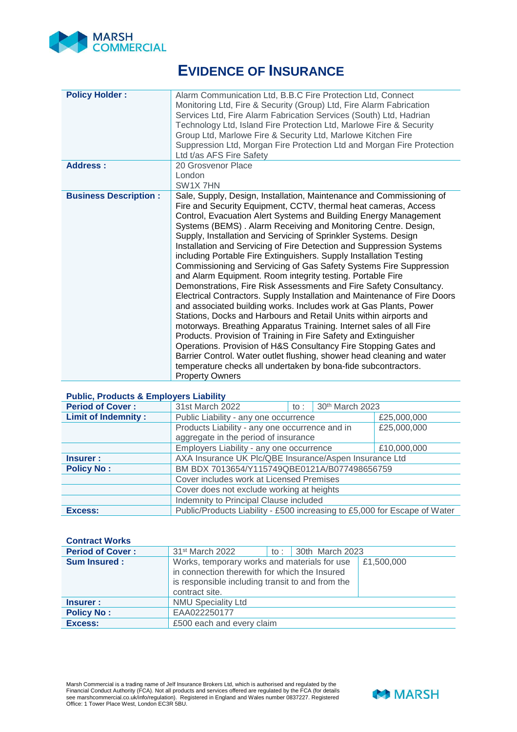

# **EVIDENCE OF INSURANCE**

| <b>Policy Holder:</b>        | Alarm Communication Ltd, B.B.C Fire Protection Ltd, Connect<br>Monitoring Ltd, Fire & Security (Group) Ltd, Fire Alarm Fabrication<br>Services Ltd, Fire Alarm Fabrication Services (South) Ltd, Hadrian<br>Technology Ltd, Island Fire Protection Ltd, Marlowe Fire & Security<br>Group Ltd, Marlowe Fire & Security Ltd, Marlowe Kitchen Fire<br>Suppression Ltd, Morgan Fire Protection Ltd and Morgan Fire Protection<br>Ltd t/as AFS Fire Safety                                                                                                                                                                                                                                                                                                                                                                                                                                                                                                                                                                                                                                                                                                                                                                                                                                                               |
|------------------------------|---------------------------------------------------------------------------------------------------------------------------------------------------------------------------------------------------------------------------------------------------------------------------------------------------------------------------------------------------------------------------------------------------------------------------------------------------------------------------------------------------------------------------------------------------------------------------------------------------------------------------------------------------------------------------------------------------------------------------------------------------------------------------------------------------------------------------------------------------------------------------------------------------------------------------------------------------------------------------------------------------------------------------------------------------------------------------------------------------------------------------------------------------------------------------------------------------------------------------------------------------------------------------------------------------------------------|
| Address:                     | 20 Grosvenor Place                                                                                                                                                                                                                                                                                                                                                                                                                                                                                                                                                                                                                                                                                                                                                                                                                                                                                                                                                                                                                                                                                                                                                                                                                                                                                                  |
|                              | London                                                                                                                                                                                                                                                                                                                                                                                                                                                                                                                                                                                                                                                                                                                                                                                                                                                                                                                                                                                                                                                                                                                                                                                                                                                                                                              |
|                              | SW <sub>1X</sub> 7HN                                                                                                                                                                                                                                                                                                                                                                                                                                                                                                                                                                                                                                                                                                                                                                                                                                                                                                                                                                                                                                                                                                                                                                                                                                                                                                |
| <b>Business Description:</b> | Sale, Supply, Design, Installation, Maintenance and Commissioning of<br>Fire and Security Equipment, CCTV, thermal heat cameras, Access<br>Control, Evacuation Alert Systems and Building Energy Management<br>Systems (BEMS). Alarm Receiving and Monitoring Centre. Design,<br>Supply, Installation and Servicing of Sprinkler Systems. Design<br>Installation and Servicing of Fire Detection and Suppression Systems<br>including Portable Fire Extinguishers. Supply Installation Testing<br>Commissioning and Servicing of Gas Safety Systems Fire Suppression<br>and Alarm Equipment. Room integrity testing. Portable Fire<br>Demonstrations, Fire Risk Assessments and Fire Safety Consultancy.<br>Electrical Contractors. Supply Installation and Maintenance of Fire Doors<br>and associated building works. Includes work at Gas Plants, Power<br>Stations, Docks and Harbours and Retail Units within airports and<br>motorways. Breathing Apparatus Training. Internet sales of all Fire<br>Products. Provision of Training in Fire Safety and Extinguisher<br>Operations. Provision of H&S Consultancy Fire Stopping Gates and<br>Barrier Control. Water outlet flushing, shower head cleaning and water<br>temperature checks all undertaken by bona-fide subcontractors.<br><b>Property Owners</b> |

#### **Public, Products & Employers Liability**

| <b>Period of Cover:</b>    | 31st March 2022                                                           | to : | 30th March 2023 |             |
|----------------------------|---------------------------------------------------------------------------|------|-----------------|-------------|
| <b>Limit of Indemnity:</b> | Public Liability - any one occurrence                                     |      |                 | £25,000,000 |
|                            | Products Liability - any one occurrence and in                            |      |                 | £25,000,000 |
|                            | aggregate in the period of insurance                                      |      |                 |             |
|                            | Employers Liability - any one occurrence                                  |      |                 | £10,000,000 |
| Insurer :                  | AXA Insurance UK Plc/QBE Insurance/Aspen Insurance Ltd                    |      |                 |             |
| <b>Policy No:</b>          | BM BDX 7013654/Y115749QBE0121A/B077498656759                              |      |                 |             |
|                            | Cover includes work at Licensed Premises                                  |      |                 |             |
|                            | Cover does not exclude working at heights                                 |      |                 |             |
|                            | Indemnity to Principal Clause included                                    |      |                 |             |
| Excess:                    | Public/Products Liability - £500 increasing to £5,000 for Escape of Water |      |                 |             |

## **Contract Works**

| <b>Period of Cover:</b> | 31 <sup>st</sup> March 2022                                                                                                                                         |  | to: $30th$ March 2023 |            |
|-------------------------|---------------------------------------------------------------------------------------------------------------------------------------------------------------------|--|-----------------------|------------|
| <b>Sum Insured:</b>     | Works, temporary works and materials for use<br>in connection therewith for which the Insured<br>is responsible including transit to and from the<br>contract site. |  |                       | £1,500,000 |
| Insurer :               | <b>NMU Speciality Ltd</b>                                                                                                                                           |  |                       |            |
| <b>Policy No:</b>       | EAA022250177                                                                                                                                                        |  |                       |            |
| Excess:                 | £500 each and every claim                                                                                                                                           |  |                       |            |

Marsh Commercial is a trading name of Jelf Insurance Brokers Ltd, which is authorised and regulated by the<br>Financial Conduct Authority (FCA). Not all products and services offered are regulated by the FCA (for details<br>see